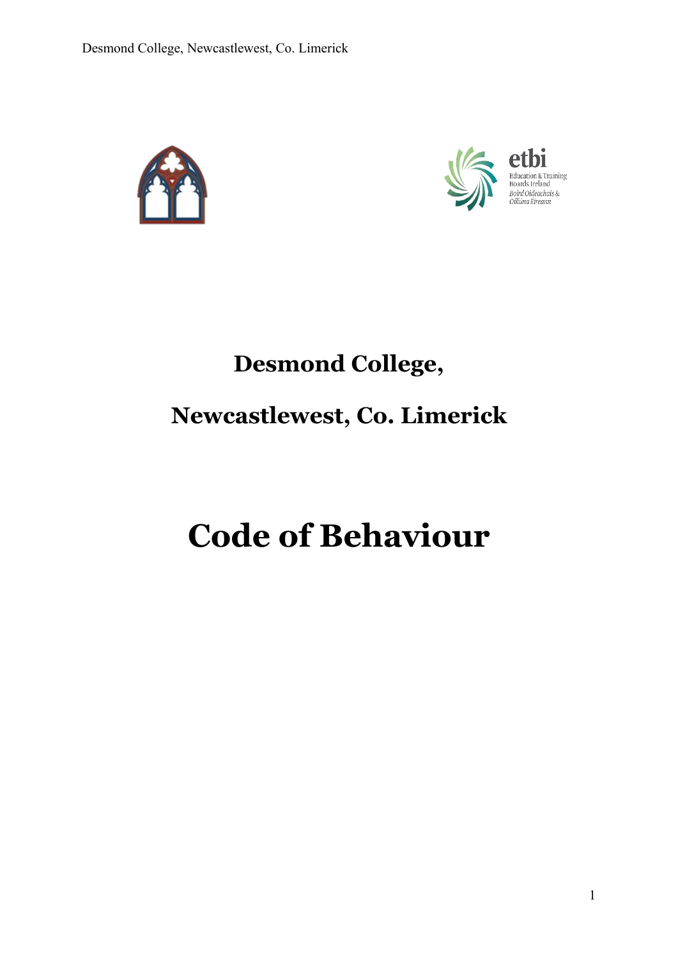



# **Desmond College, Newcastlewest, Co. Limerick**

# **Code of Behaviour**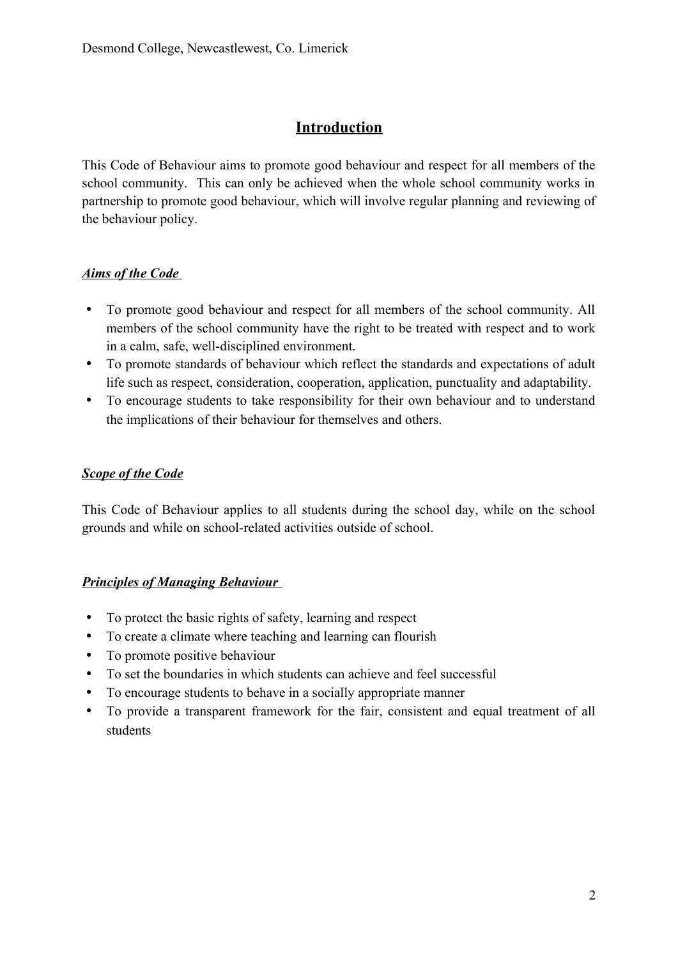## **Introduction**

This Code of Behaviour aims to promote good behaviour and respect for all members of the school community. This can only be achieved when the whole school community works in partnership to promote good behaviour, which will involve regular planning and reviewing of the behaviour policy.

#### *Aims of the Code*

- To promote good behaviour and respect for all members of the school community. All members of the school community have the right to be treated with respect and to work in a calm, safe, well-disciplined environment.
- To promote standards of behaviour which reflect the standards and expectations of adult life such as respect, consideration, cooperation, application, punctuality and adaptability.
- To encourage students to take responsibility for their own behaviour and to understand the implications of their behaviour for themselves and others.

#### *Scope of the Code*

This Code of Behaviour applies to all students during the school day, while on the school grounds and while on school-related activities outside of school.

#### *Principles of Managing Behaviour*

- To protect the basic rights of safety, learning and respect
- To create a climate where teaching and learning can flourish
- To promote positive behaviour
- To set the boundaries in which students can achieve and feel successful
- To encourage students to behave in a socially appropriate manner
- To provide a transparent framework for the fair, consistent and equal treatment of all students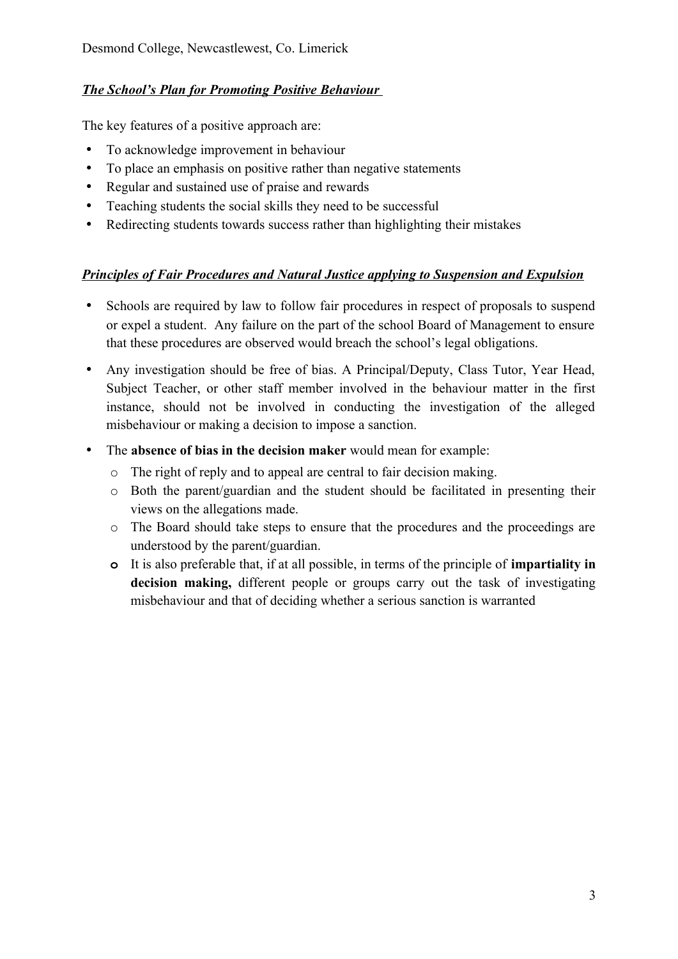#### *The School's Plan for Promoting Positive Behaviour*

The key features of a positive approach are:

- To acknowledge improvement in behaviour
- To place an emphasis on positive rather than negative statements
- Regular and sustained use of praise and rewards
- Teaching students the social skills they need to be successful
- Redirecting students towards success rather than highlighting their mistakes

#### *Principles of Fair Procedures and Natural Justice applying to Suspension and Expulsion*

- Schools are required by law to follow fair procedures in respect of proposals to suspend or expel a student. Any failure on the part of the school Board of Management to ensure that these procedures are observed would breach the school's legal obligations.
- Any investigation should be free of bias. A Principal/Deputy, Class Tutor, Year Head, Subject Teacher, or other staff member involved in the behaviour matter in the first instance, should not be involved in conducting the investigation of the alleged misbehaviour or making a decision to impose a sanction.
- The **absence of bias in the decision maker** would mean for example:
	- o The right of reply and to appeal are central to fair decision making.
	- o Both the parent/guardian and the student should be facilitated in presenting their views on the allegations made.
	- o The Board should take steps to ensure that the procedures and the proceedings are understood by the parent/guardian.
	- **o** It is also preferable that, if at all possible, in terms of the principle of **impartiality in decision making,** different people or groups carry out the task of investigating misbehaviour and that of deciding whether a serious sanction is warranted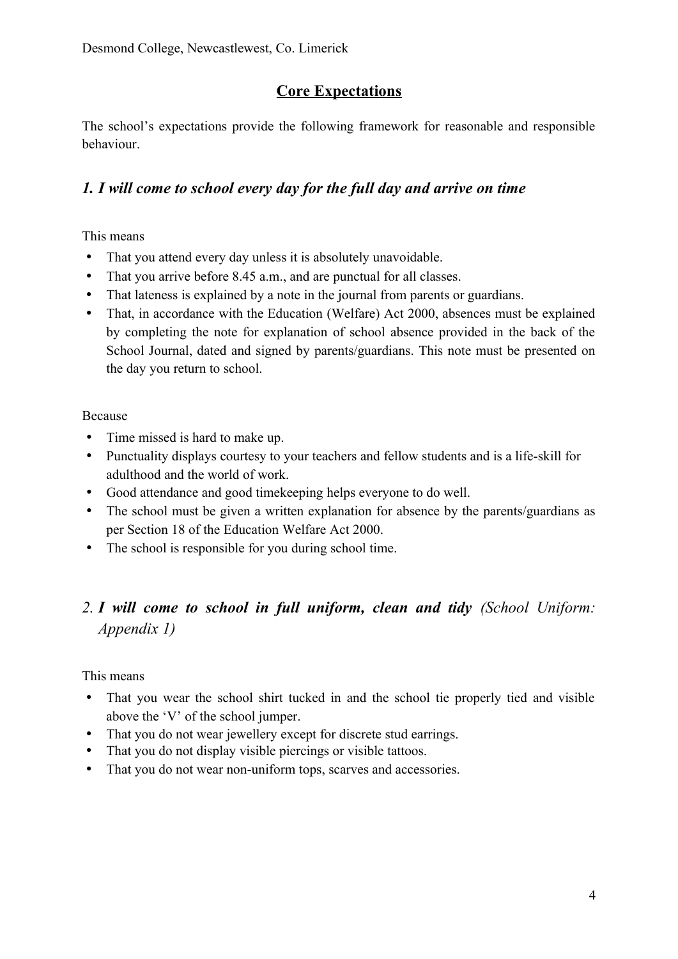## **Core Expectations**

The school's expectations provide the following framework for reasonable and responsible behaviour.

### *1. I will come to school every day for the full day and arrive on time*

This means

- That you attend every day unless it is absolutely unavoidable.
- That you arrive before 8.45 a.m., and are punctual for all classes.
- That lateness is explained by a note in the journal from parents or guardians.
- That, in accordance with the Education (Welfare) Act 2000, absences must be explained by completing the note for explanation of school absence provided in the back of the School Journal, dated and signed by parents/guardians. This note must be presented on the day you return to school.

#### Because

- Time missed is hard to make up.
- Punctuality displays courtesy to your teachers and fellow students and is a life-skill for adulthood and the world of work.
- Good attendance and good timekeeping helps everyone to do well.
- The school must be given a written explanation for absence by the parents/guardians as per Section 18 of the Education Welfare Act 2000.
- The school is responsible for you during school time.

## *2. I will come to school in full uniform, clean and tidy (School Uniform: Appendix 1)*

This means

- That you wear the school shirt tucked in and the school tie properly tied and visible above the 'V' of the school jumper.
- That you do not wear jewellery except for discrete stud earrings.
- That you do not display visible piercings or visible tattoos.
- That you do not wear non-uniform tops, scarves and accessories.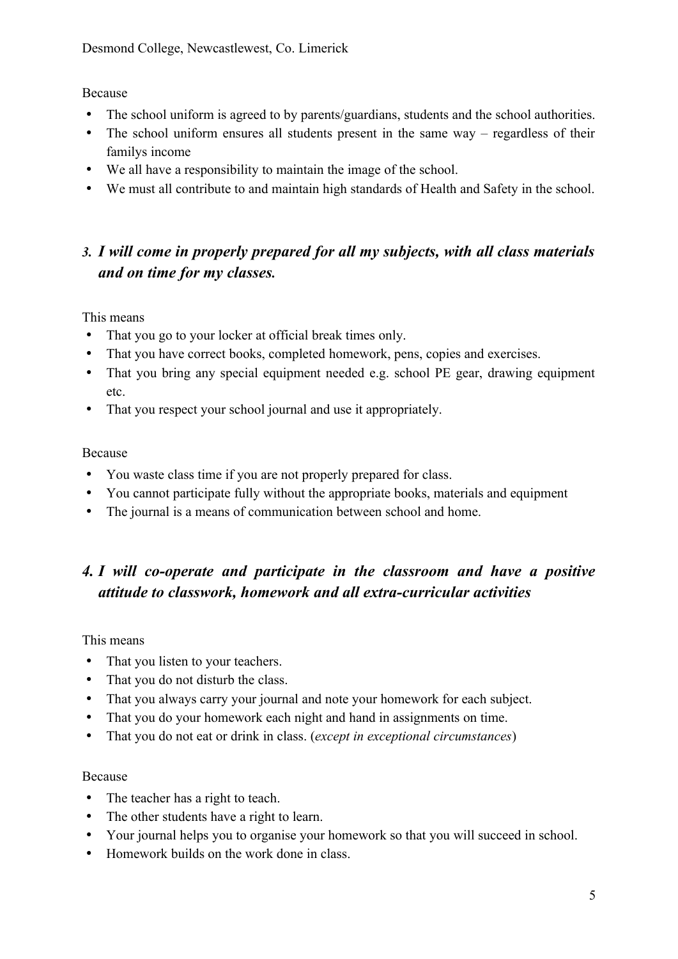Because

- The school uniform is agreed to by parents/guardians, students and the school authorities.
- The school uniform ensures all students present in the same way regardless of their familys income
- We all have a responsibility to maintain the image of the school.
- We must all contribute to and maintain high standards of Health and Safety in the school.

## *3. I will come in properly prepared for all my subjects, with all class materials and on time for my classes.*

This means

- That you go to your locker at official break times only.
- That you have correct books, completed homework, pens, copies and exercises.
- That you bring any special equipment needed e.g. school PE gear, drawing equipment etc.
- That you respect your school journal and use it appropriately.

#### Because

- You waste class time if you are not properly prepared for class.
- You cannot participate fully without the appropriate books, materials and equipment
- The journal is a means of communication between school and home.

## *4. I will co-operate and participate in the classroom and have a positive attitude to classwork, homework and all extra-curricular activities*

This means

- That you listen to your teachers.
- That you do not disturb the class.
- That you always carry your journal and note your homework for each subject.
- That you do your homework each night and hand in assignments on time.
- That you do not eat or drink in class. (*except in exceptional circumstances*)

#### Because

- The teacher has a right to teach.
- The other students have a right to learn.
- Your journal helps you to organise your homework so that you will succeed in school.
- Homework builds on the work done in class.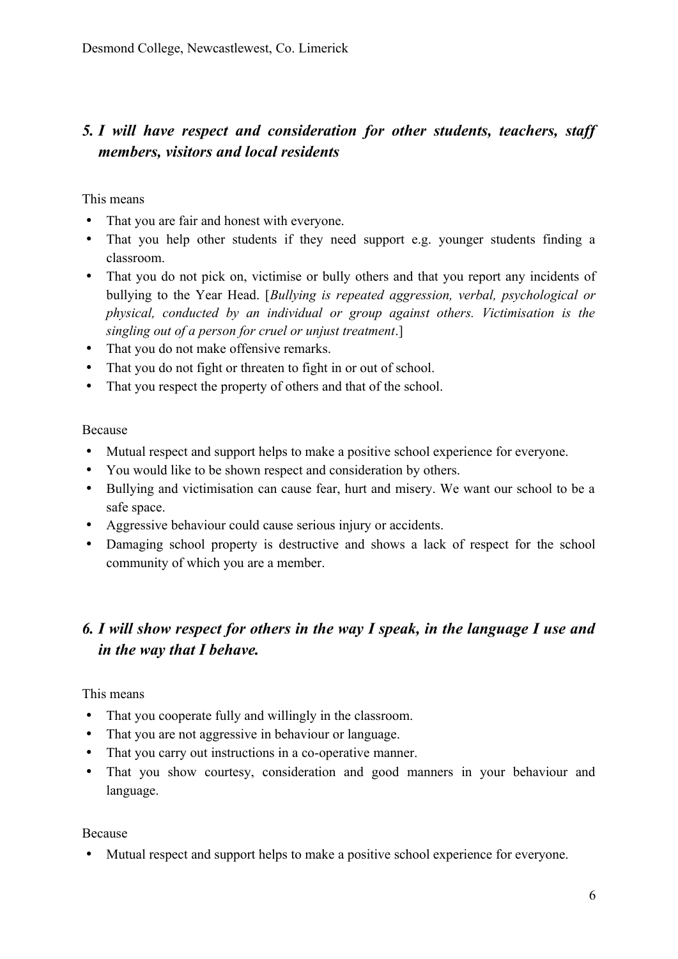## *5. I will have respect and consideration for other students, teachers, staff members, visitors and local residents*

This means

- That you are fair and honest with everyone.
- That you help other students if they need support e.g. younger students finding a classroom.
- That you do not pick on, victimise or bully others and that you report any incidents of bullying to the Year Head. [*Bullying is repeated aggression, verbal, psychological or physical, conducted by an individual or group against others. Victimisation is the singling out of a person for cruel or unjust treatment*.]
- That you do not make offensive remarks.
- That you do not fight or threaten to fight in or out of school.
- That you respect the property of others and that of the school.

Because

- Mutual respect and support helps to make a positive school experience for everyone.
- You would like to be shown respect and consideration by others.
- Bullying and victimisation can cause fear, hurt and misery. We want our school to be a safe space.
- Aggressive behaviour could cause serious injury or accidents.
- Damaging school property is destructive and shows a lack of respect for the school community of which you are a member.

## *6. I will show respect for others in the way I speak, in the language I use and in the way that I behave.*

This means

- That you cooperate fully and willingly in the classroom.
- That you are not aggressive in behaviour or language.
- That you carry out instructions in a co-operative manner.
- That you show courtesy, consideration and good manners in your behaviour and language.

Because

Mutual respect and support helps to make a positive school experience for everyone.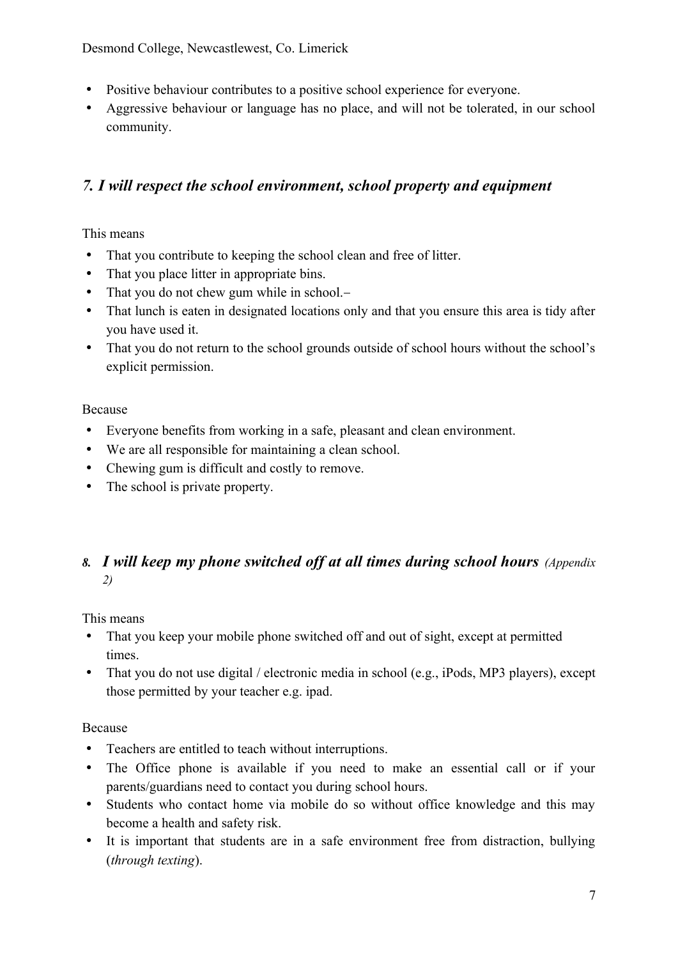Desmond College, Newcastlewest, Co. Limerick

- Positive behaviour contributes to a positive school experience for everyone.
- Aggressive behaviour or language has no place, and will not be tolerated, in our school community.

## *7. I will respect the school environment, school property and equipment*

This means

- That you contribute to keeping the school clean and free of litter.
- That you place litter in appropriate bins.
- That you do not chew gum while in school.-
- That lunch is eaten in designated locations only and that you ensure this area is tidy after you have used it.
- That you do not return to the school grounds outside of school hours without the school's explicit permission.

#### Because

- Everyone benefits from working in a safe, pleasant and clean environment.
- We are all responsible for maintaining a clean school.
- Chewing gum is difficult and costly to remove.
- The school is private property.

## *8. I will keep my phone switched off at all times during school hours (Appendix 2)*

This means

- That you keep your mobile phone switched off and out of sight, except at permitted times.
- That you do not use digital / electronic media in school (e.g., iPods, MP3 players), except those permitted by your teacher e.g. ipad.

#### Because

- Teachers are entitled to teach without interruptions.
- The Office phone is available if you need to make an essential call or if your parents/guardians need to contact you during school hours.
- Students who contact home via mobile do so without office knowledge and this may become a health and safety risk.
- It is important that students are in a safe environment free from distraction, bullying (*through texting*).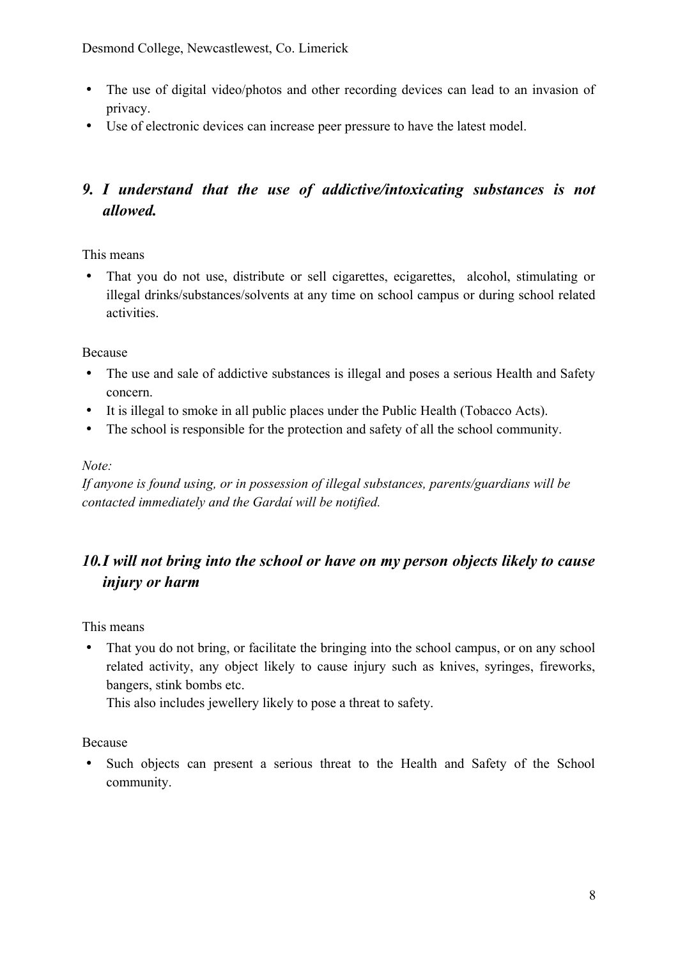Desmond College, Newcastlewest, Co. Limerick

- The use of digital video/photos and other recording devices can lead to an invasion of privacy.
- Use of electronic devices can increase peer pressure to have the latest model.

## *9. I understand that the use of addictive/intoxicating substances is not allowed.*

This means

 That you do not use, distribute or sell cigarettes, ecigarettes, alcohol, stimulating or illegal drinks/substances/solvents at any time on school campus or during school related activities.

Because

- The use and sale of addictive substances is illegal and poses a serious Health and Safety concern.
- It is illegal to smoke in all public places under the Public Health (Tobacco Acts).
- The school is responsible for the protection and safety of all the school community.

#### *Note:*

*If anyone is found using, or in possession of illegal substances, parents/guardians will be contacted immediately and the Gardaí will be notified.*

## *10.I will not bring into the school or have on my person objects likely to cause injury or harm*

This means

 That you do not bring, or facilitate the bringing into the school campus, or on any school related activity, any object likely to cause injury such as knives, syringes, fireworks, bangers, stink bombs etc.

This also includes jewellery likely to pose a threat to safety.

Because

 Such objects can present a serious threat to the Health and Safety of the School community.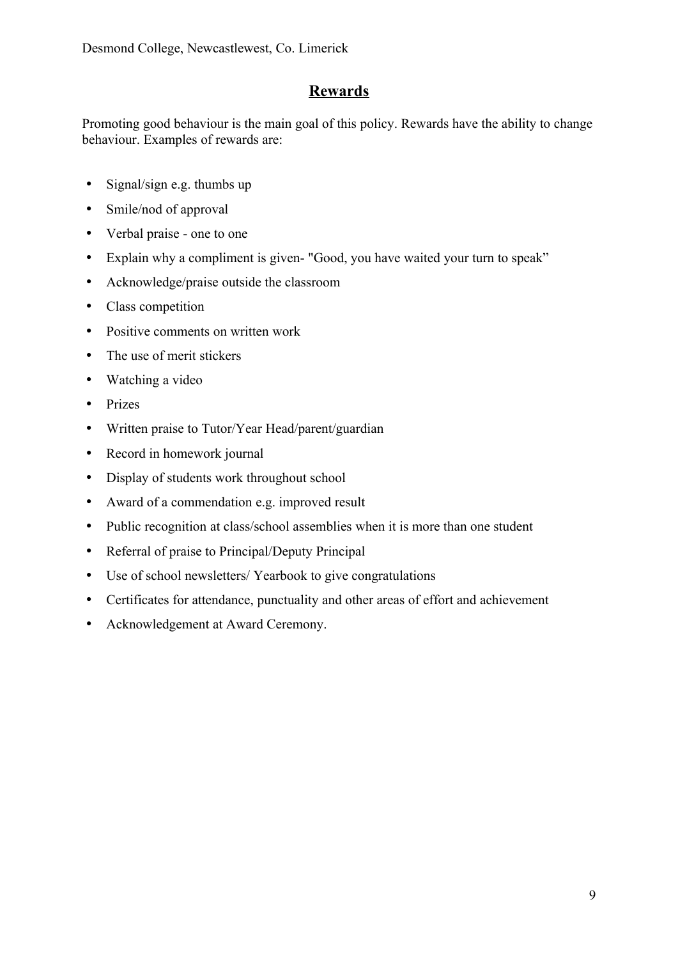## **Rewards**

Promoting good behaviour is the main goal of this policy. Rewards have the ability to change behaviour. Examples of rewards are:

- Signal/sign e.g. thumbs up
- Smile/nod of approval
- Verbal praise one to one
- Explain why a compliment is given- "Good, you have waited your turn to speak"
- Acknowledge/praise outside the classroom
- Class competition
- Positive comments on written work
- The use of merit stickers
- Watching a video
- Prizes
- Written praise to Tutor/Year Head/parent/guardian
- Record in homework journal
- Display of students work throughout school
- Award of a commendation e.g. improved result
- Public recognition at class/school assemblies when it is more than one student
- Referral of praise to Principal/Deputy Principal
- Use of school newsletters/ Yearbook to give congratulations
- Certificates for attendance, punctuality and other areas of effort and achievement
- Acknowledgement at Award Ceremony.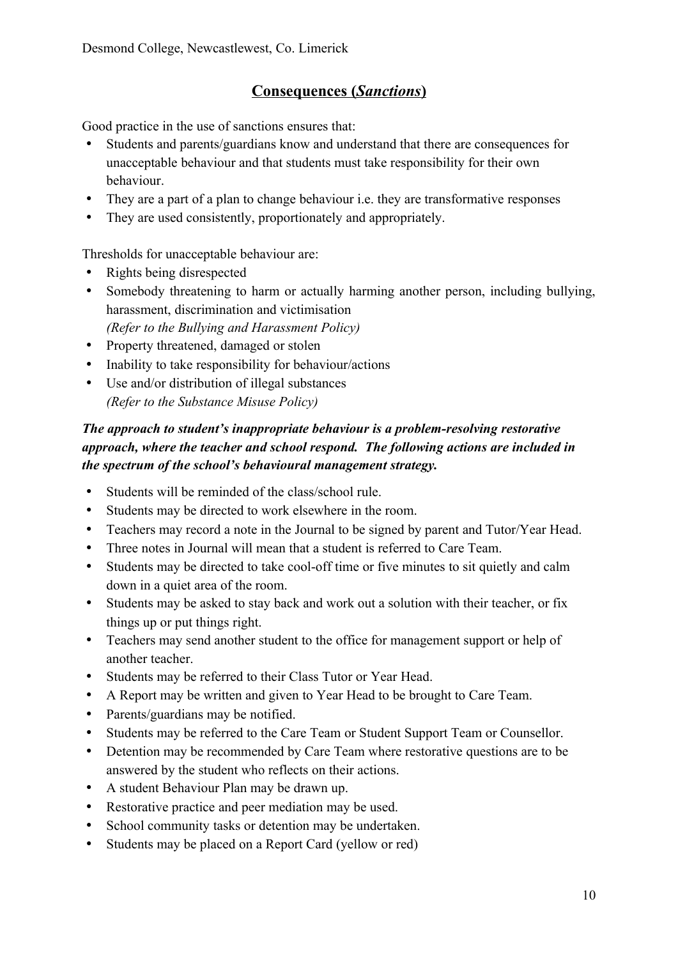## **Consequences (** *Sanctions* **)**

Good practice in the use of sanctions ensures that:

- Students and parents/guardians know and understand that there are consequences for unacceptable behaviour and that students must take responsibility for their own behaviour.
- They are a part of a plan to change behaviour i.e. they are transformative responses
- They are used consistently, proportionately and appropriately.

Thresholds for unacceptable behaviour are:

- Rights being disrespected
- Somebody threatening to harm or actually harming another person, including bullying, harassment, discrimination and victimisation *(Refer to the Bullying and Harassment Policy)*
- Property threatened, damaged or stolen
- Inability to take responsibility for behaviour/actions
- Use and/or distribution of illegal substances *(Refer to the Substance Misuse Policy)*

#### *The approach to student's inappropriate behaviour is a problem-resolving restorative approach, where the teacher and school respond. The following actions are included in the spectrum of the school's behavioural management strategy.*

- Students will be reminded of the class/school rule.
- Students may be directed to work elsewhere in the room.
- Teachers may record a note in the Journal to be signed by parent and Tutor/Year Head.
- Three notes in Journal will mean that a student is referred to Care Team.
- Students may be directed to take cool-off time or five minutes to sit quietly and calm down in a quiet area of the room.
- Students may be asked to stay back and work out a solution with their teacher, or fix things up or put things right.
- Teachers may send another student to the office for management support or help of another teacher.
- Students may be referred to their Class Tutor or Year Head.
- A Report may be written and given to Year Head to be brought to Care Team.
- Parents/guardians may be notified.
- Students may be referred to the Care Team or Student Support Team or Counsellor.
- Detention may be recommended by Care Team where restorative questions are to be answered by the student who reflects on their actions.
- A student Behaviour Plan may be drawn up.
- Restorative practice and peer mediation may be used.
- School community tasks or detention may be undertaken.
- Students may be placed on a Report Card (yellow or red)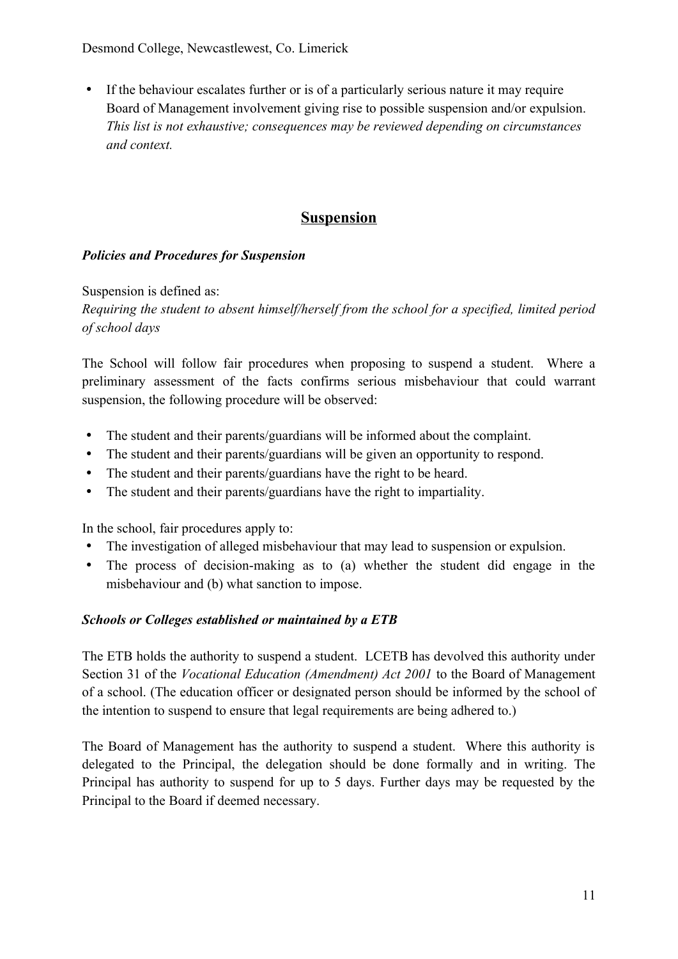Desmond College, Newcastlewest, Co. Limerick

 If the behaviour escalates further or is of a particularly serious nature it may require Board of Management involvement giving rise to possible suspension and/or expulsion. *This list is not exhaustive; consequences may be reviewed depending on circumstances and context.*

## **Suspension**

#### *Policies and Procedures for Suspension*

Suspension is defined as:

*Requiring the student to absent himself/herself from the school for a specified, limited period of school days* 

The School will follow fair procedures when proposing to suspend a student. Where a preliminary assessment of the facts confirms serious misbehaviour that could warrant suspension, the following procedure will be observed:

- The student and their parents/guardians will be informed about the complaint.
- The student and their parents/guardians will be given an opportunity to respond.
- The student and their parents/guardians have the right to be heard.
- The student and their parents/guardians have the right to impartiality.

In the school, fair procedures apply to:

- The investigation of alleged misbehaviour that may lead to suspension or expulsion.
- The process of decision-making as to (a) whether the student did engage in the misbehaviour and (b) what sanction to impose.

#### *Schools or Colleges established or maintained by a ETB*

The ETB holds the authority to suspend a student. LCETB has devolved this authority under Section 31 of the *Vocational Education (Amendment) Act 2001* to the Board of Management of a school. (The education officer or designated person should be informed by the school of the intention to suspend to ensure that legal requirements are being adhered to.)

The Board of Management has the authority to suspend a student. Where this authority is delegated to the Principal, the delegation should be done formally and in writing. The Principal has authority to suspend for up to 5 days. Further days may be requested by the Principal to the Board if deemed necessary.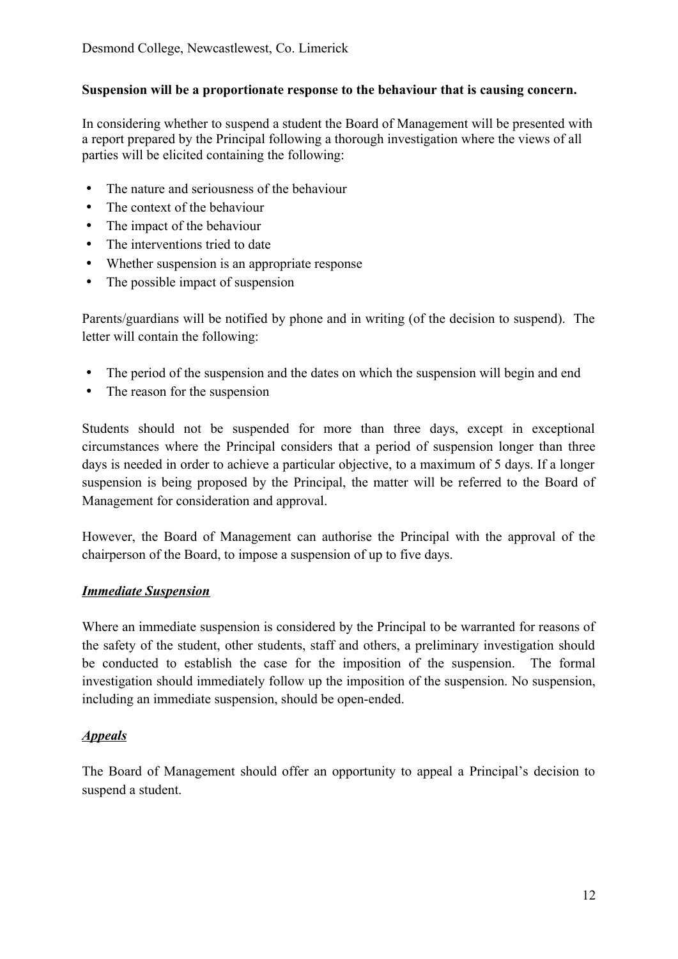#### **Suspension will be a proportionate response to the behaviour that is causing concern.**

In considering whether to suspend a student the Board of Management will be presented with a report prepared by the Principal following a thorough investigation where the views of all parties will be elicited containing the following:

- The nature and seriousness of the behaviour
- The context of the behaviour
- The impact of the behaviour
- The interventions tried to date
- Whether suspension is an appropriate response
- The possible impact of suspension

Parents/guardians will be notified by phone and in writing (of the decision to suspend). The letter will contain the following:

- The period of the suspension and the dates on which the suspension will begin and end
- The reason for the suspension

Students should not be suspended for more than three days, except in exceptional circumstances where the Principal considers that a period of suspension longer than three days is needed in order to achieve a particular objective, to a maximum of 5 days. If a longer suspension is being proposed by the Principal, the matter will be referred to the Board of Management for consideration and approval.

However, the Board of Management can authorise the Principal with the approval of the chairperson of the Board, to impose a suspension of up to five days.

#### *Immediate Suspension*

Where an immediate suspension is considered by the Principal to be warranted for reasons of the safety of the student, other students, staff and others, a preliminary investigation should be conducted to establish the case for the imposition of the suspension. The formal investigation should immediately follow up the imposition of the suspension. No suspension, including an immediate suspension, should be open-ended.

#### *Appeals*

The Board of Management should offer an opportunity to appeal a Principal's decision to suspend a student.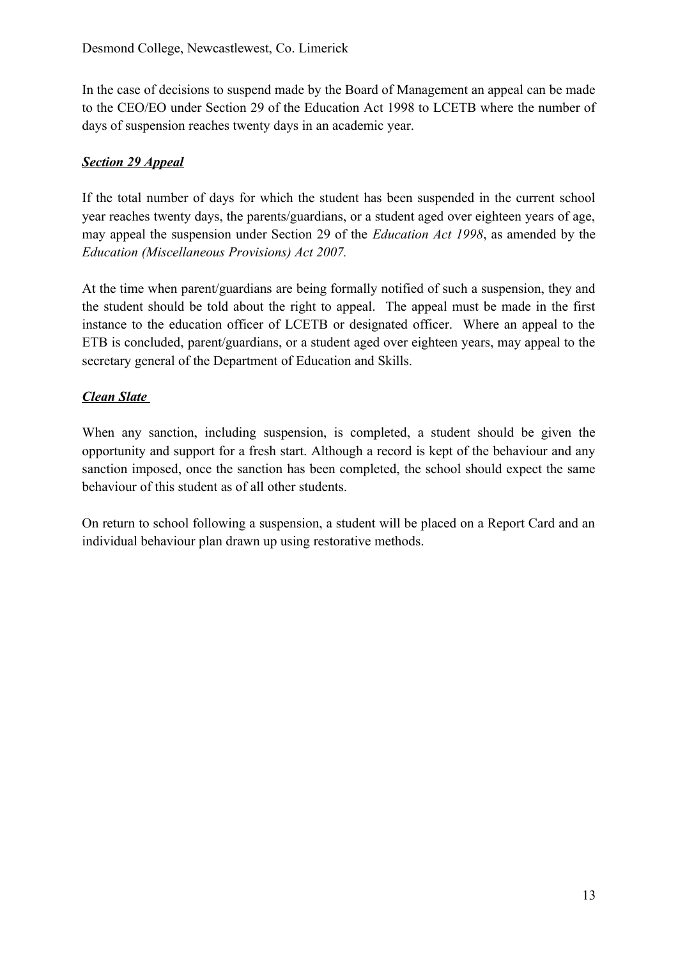In the case of decisions to suspend made by the Board of Management an appeal can be made to the CEO/EO under Section 29 of the Education Act 1998 to LCETB where the number of days of suspension reaches twenty days in an academic year.

#### *Section 29 Appeal*

If the total number of days for which the student has been suspended in the current school year reaches twenty days, the parents/guardians, or a student aged over eighteen years of age, may appeal the suspension under Section 29 of the *Education Act 1998*, as amended by the *Education (Miscellaneous Provisions) Act 2007.* 

At the time when parent/guardians are being formally notified of such a suspension, they and the student should be told about the right to appeal. The appeal must be made in the first instance to the education officer of LCETB or designated officer. Where an appeal to the ETB is concluded, parent/guardians, or a student aged over eighteen years, may appeal to the secretary general of the Department of Education and Skills.

#### *Clean Slate*

When any sanction, including suspension, is completed, a student should be given the opportunity and support for a fresh start. Although a record is kept of the behaviour and any sanction imposed, once the sanction has been completed, the school should expect the same behaviour of this student as of all other students.

On return to school following a suspension, a student will be placed on a Report Card and an individual behaviour plan drawn up using restorative methods.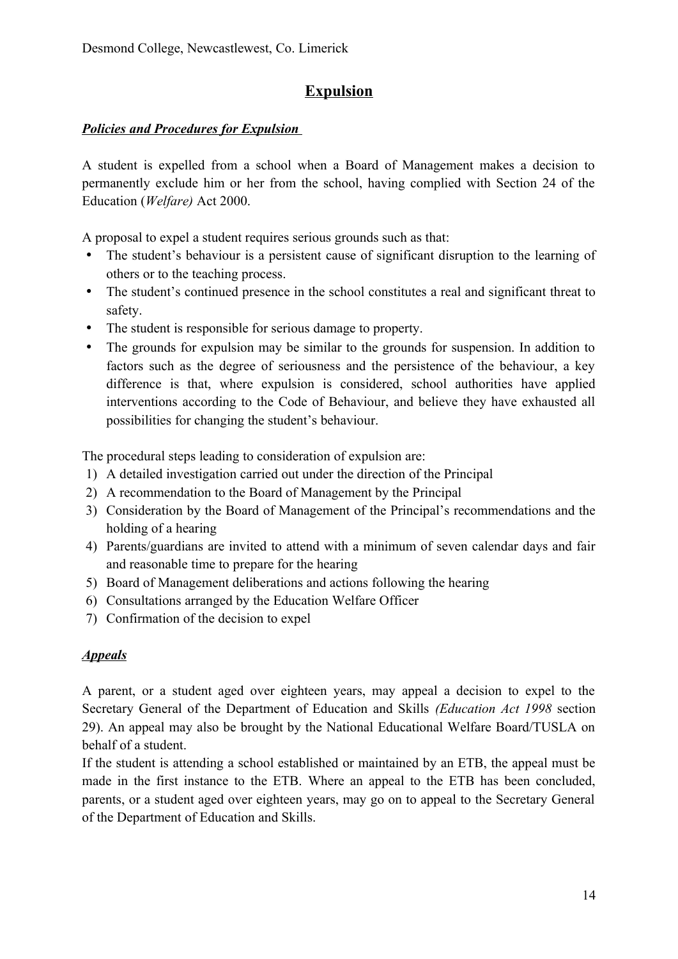## **Expulsion**

#### *Policies and Procedures for Expulsion*

A student is expelled from a school when a Board of Management makes a decision to permanently exclude him or her from the school, having complied with Section 24 of the Education (*Welfare)* Act 2000.

A proposal to expel a student requires serious grounds such as that:

- The student's behaviour is a persistent cause of significant disruption to the learning of others or to the teaching process.
- The student's continued presence in the school constitutes a real and significant threat to safety.
- The student is responsible for serious damage to property.
- The grounds for expulsion may be similar to the grounds for suspension. In addition to factors such as the degree of seriousness and the persistence of the behaviour, a key difference is that, where expulsion is considered, school authorities have applied interventions according to the Code of Behaviour, and believe they have exhausted all possibilities for changing the student's behaviour.

The procedural steps leading to consideration of expulsion are:

- 1) A detailed investigation carried out under the direction of the Principal
- 2) A recommendation to the Board of Management by the Principal
- 3) Consideration by the Board of Management of the Principal's recommendations and the holding of a hearing
- 4) Parents/guardians are invited to attend with a minimum of seven calendar days and fair and reasonable time to prepare for the hearing
- 5) Board of Management deliberations and actions following the hearing
- 6) Consultations arranged by the Education Welfare Officer
- 7) Confirmation of the decision to expel

#### *Appeals*

A parent, or a student aged over eighteen years, may appeal a decision to expel to the Secretary General of the Department of Education and Skills *(Education Act 1998* section 29). An appeal may also be brought by the National Educational Welfare Board/TUSLA on behalf of a student.

If the student is attending a school established or maintained by an ETB, the appeal must be made in the first instance to the ETB. Where an appeal to the ETB has been concluded, parents, or a student aged over eighteen years, may go on to appeal to the Secretary General of the Department of Education and Skills.